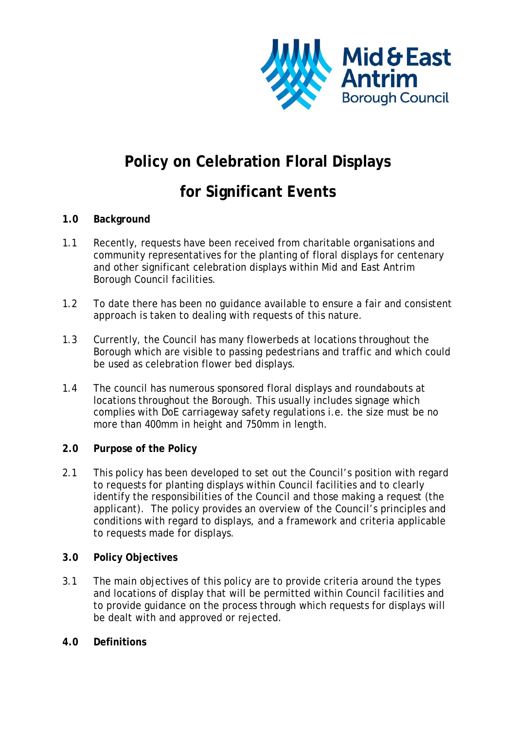

# **Policy on Celebration Floral Displays**

# **for Significant Events**

## **1.0 Background**

- 1.1 Recently, requests have been received from charitable organisations and community representatives for the planting of floral displays for centenary and other significant celebration displays within Mid and East Antrim Borough Council facilities.
- 1.2 To date there has been no guidance available to ensure a fair and consistent approach is taken to dealing with requests of this nature.
- 1.3 Currently, the Council has many flowerbeds at locations throughout the Borough which are visible to passing pedestrians and traffic and which could be used as celebration flower bed displays.
- 1.4 The council has numerous sponsored floral displays and roundabouts at locations throughout the Borough. This usually includes signage which complies with DoE carriageway safety regulations i.e. the size must be no more than 400mm in height and 750mm in length.

## **2.0 Purpose of the Policy**

2.1 This policy has been developed to set out the Council's position with regard to requests for planting displays within Council facilities and to clearly identify the responsibilities of the Council and those making a request (the applicant). The policy provides an overview of the Council's principles and conditions with regard to displays, and a framework and criteria applicable to requests made for displays.

## **3.0 Policy Objectives**

3.1 The main objectives of this policy are to provide criteria around the types and locations of display that will be permitted within Council facilities and to provide guidance on the process through which requests for displays will be dealt with and approved or rejected.

## **4.0 Definitions**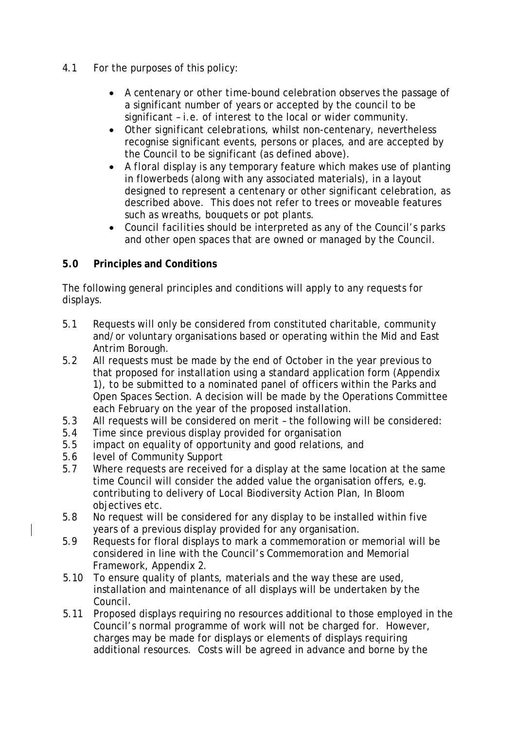- 4.1 For the purposes of this policy:
	- A *centenary or other time-bound* celebration observes the passage of a significant number of years or accepted by the council to be significant – i.e. of interest to the local or wider community.
	- *Other significant celebrations*, whilst non-centenary, nevertheless recognise significant events, persons or places, and are accepted by the Council to be significant (as defined above).
	- A *floral display* is any temporary feature which makes use of planting in flowerbeds (along with any associated materials), in a layout designed to represent a centenary or other significant celebration, as described above. This does not refer to trees or moveable features such as wreaths, bouquets or pot plants.
	- *Council facilities* should be interpreted as any of the Council's parks and other open spaces that are owned or managed by the Council.

## **5.0 Principles and Conditions**

The following general principles and conditions will apply to any requests for displays.

- 5.1 Requests will only be considered from constituted charitable, community and/or voluntary organisations based or operating within the Mid and East Antrim Borough.
- 5.2 All requests must be made by the end of October in the year previous to that proposed for installation using a standard application form (Appendix 1), to be submitted to a nominated panel of officers within the Parks and Open Spaces Section. A decision will be made by the Operations Committee each February on the year of the proposed installation.
- 5.3 All requests will be considered on merit the following will be considered:
- 5.4 Time since previous display provided for organisation
- 5.5 impact on equality of opportunity and good relations, and
- 5.6 level of Community Support
- 5.7 Where requests are received for a display at the same location at the same time Council will consider the added value the organisation offers, e.g. contributing to delivery of Local Biodiversity Action Plan, In Bloom objectives etc.
- 5.8 No request will be considered for any display to be installed within five years of a previous display provided for any organisation.
- 5.9 Requests for floral displays to mark a commemoration or memorial will be considered in line with the Council's Commemoration and Memorial Framework, Appendix 2.
- 5.10 To ensure quality of plants, materials and the way these are used, installation and maintenance of all displays will be undertaken by the Council.
- 5.11 Proposed displays requiring no resources additional to those employed in the Council's normal programme of work will not be charged for. However, charges may be made for displays or elements of displays requiring additional resources. Costs will be agreed in advance and borne by the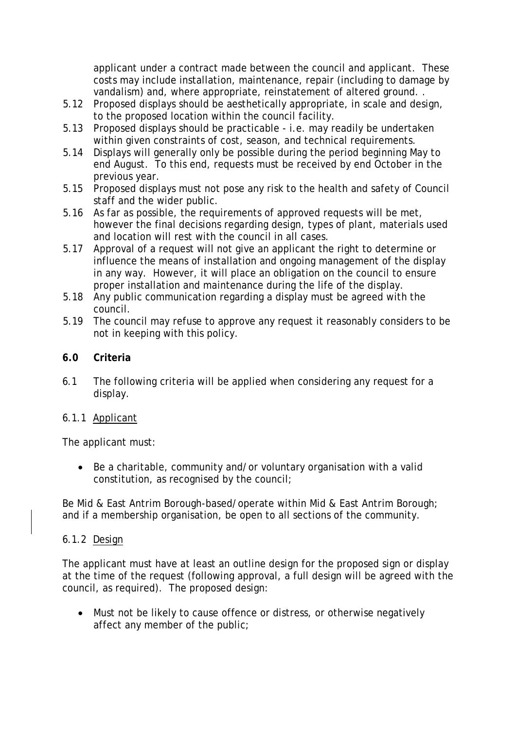applicant under a contract made between the council and applicant. These costs may include installation, maintenance, repair (including to damage by vandalism) and, where appropriate, reinstatement of altered ground. .

- 5.12 Proposed displays should be aesthetically appropriate, in scale and design, to the proposed location within the council facility.
- 5.13 Proposed displays should be practicable i.e. may readily be undertaken within given constraints of cost, season, and technical requirements.
- 5.14 Displays will generally only be possible during the period beginning May to end August. To this end, requests must be received by end October in the previous year.
- 5.15 Proposed displays must not pose any risk to the health and safety of Council staff and the wider public.
- 5.16 As far as possible, the requirements of approved requests will be met, however the final decisions regarding design, types of plant, materials used and location will rest with the council in all cases.
- 5.17 Approval of a request will not give an applicant the right to determine or influence the means of installation and ongoing management of the display in any way. However, it will place an obligation on the council to ensure proper installation and maintenance during the life of the display.
- 5.18 Any public communication regarding a display must be agreed with the council.
- 5.19 The council may refuse to approve any request it reasonably considers to be not in keeping with this policy.

## **6.0 Criteria**

6.1 The following criteria will be applied when considering any request for a display.

## 6.1.1 Applicant

The applicant must:

• Be a charitable, community and/or voluntary organisation with a valid constitution, as recognised by the council;

Be Mid & East Antrim Borough-based/operate within Mid & East Antrim Borough; and if a membership organisation, be open to all sections of the community.

## 6.1.2 Design

The applicant must have at least an outline design for the proposed sign or display at the time of the request (following approval, a full design will be agreed with the council, as required). The proposed design:

• Must not be likely to cause offence or distress, or otherwise negatively affect any member of the public;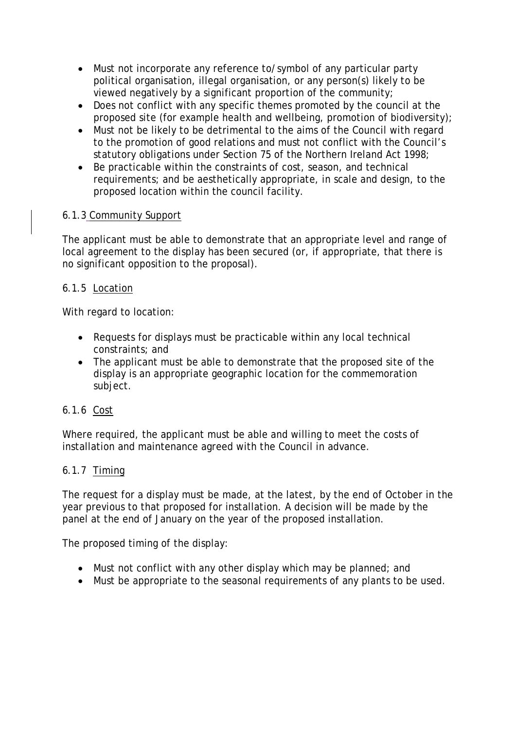- Must not incorporate any reference to/symbol of any particular party political organisation, illegal organisation, or any person(s) likely to be viewed negatively by a significant proportion of the community;
- Does not conflict with any specific themes promoted by the council at the proposed site (for example health and wellbeing, promotion of biodiversity);
- Must not be likely to be detrimental to the aims of the Council with regard to the promotion of good relations and must not conflict with the Council's statutory obligations under Section 75 of the Northern Ireland Act 1998;
- Be practicable within the constraints of cost, season, and technical requirements; and be aesthetically appropriate, in scale and design, to the proposed location within the council facility.

## 6.1.3 Community Support

The applicant must be able to demonstrate that an appropriate level and range of local agreement to the display has been secured (or, if appropriate, that there is no significant opposition to the proposal).

## 6.1.5 Location

With regard to location:

- Requests for displays must be practicable within any local technical constraints; and
- The applicant must be able to demonstrate that the proposed site of the display is an appropriate geographic location for the commemoration subject.

#### 6.1.6 Cost

Where required, the applicant must be able and willing to meet the costs of installation and maintenance agreed with the Council in advance.

## 6.1.7 Timing

The request for a display must be made, at the latest, by the end of October in the year previous to that proposed for installation. A decision will be made by the panel at the end of January on the year of the proposed installation.

The proposed timing of the display:

- Must not conflict with any other display which may be planned; and
- Must be appropriate to the seasonal requirements of any plants to be used.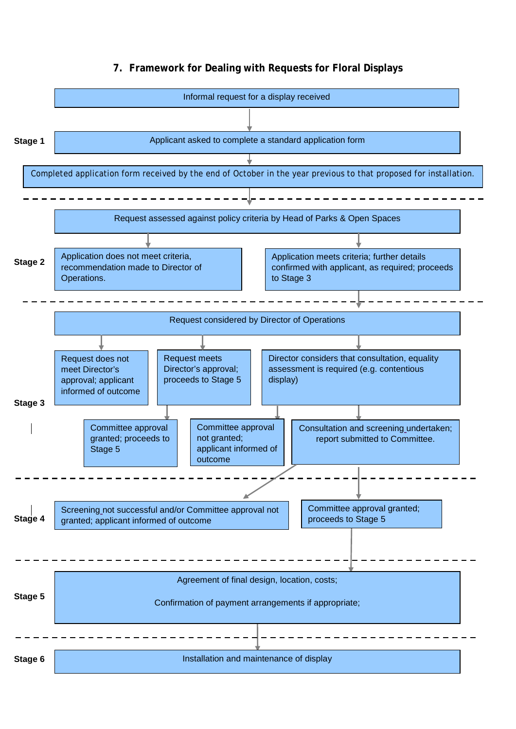### **7. Framework for Dealing with Requests for Floral Displays**

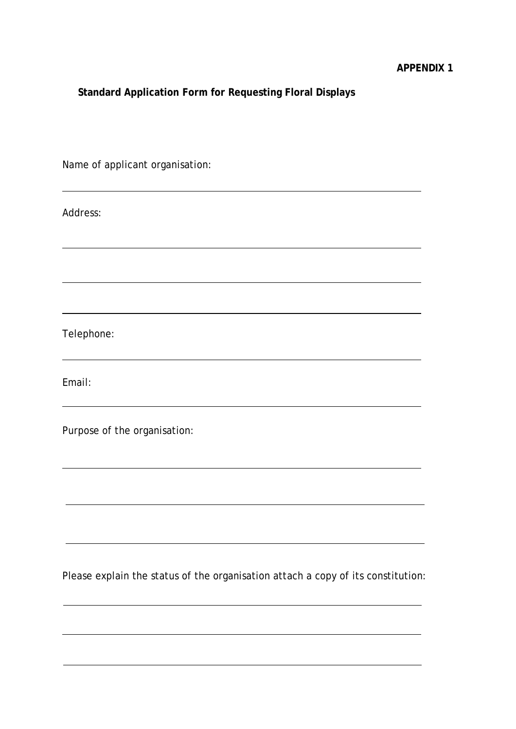## **Standard Application Form for Requesting Floral Displays**

Name of applicant organisation:

Address:

Telephone:

Email:

Purpose of the organisation:

Please explain the status of the organisation attach a copy of its constitution: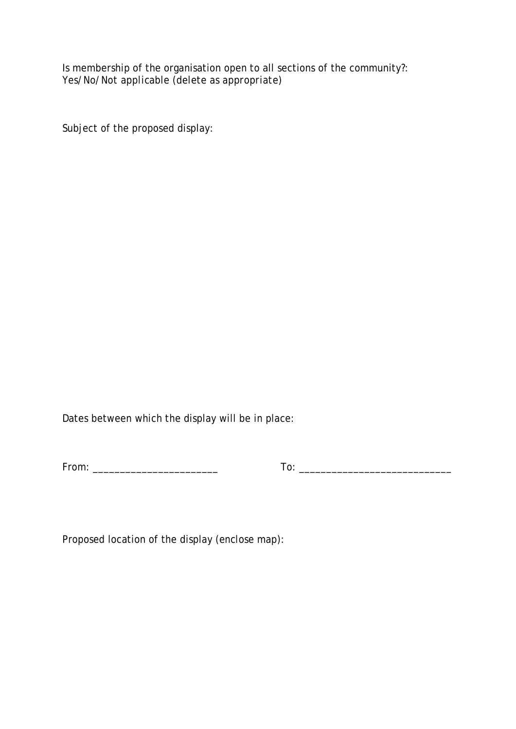Is membership of the organisation open to all sections of the community?: *Yes/No/Not applicable (delete as appropriate)*

Subject of the proposed display:

Dates between which the display will be in place:

| From:<br>$   -$ |
|-----------------|
|-----------------|

 $To: \begin{tabular}{|c|c|c|c|} \hline \end{tabular}$ 

Proposed location of the display *(enclose map)*: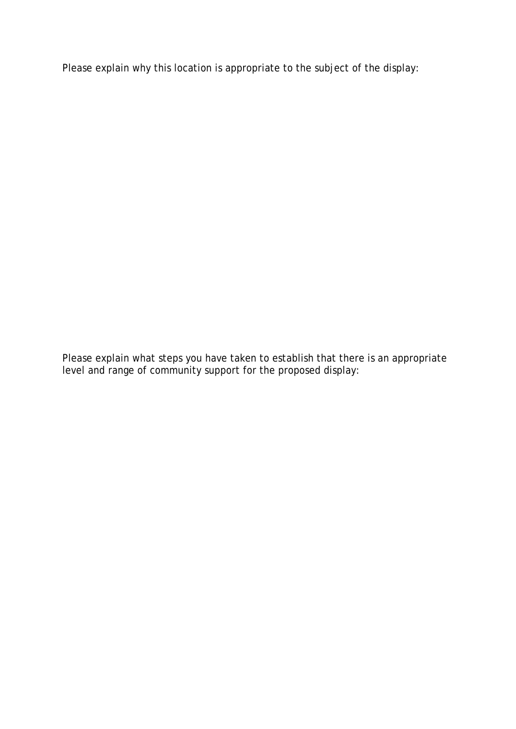Please explain why this location is appropriate to the subject of the display:

Please explain what steps you have taken to establish that there is an appropriate level and range of community support for the proposed display: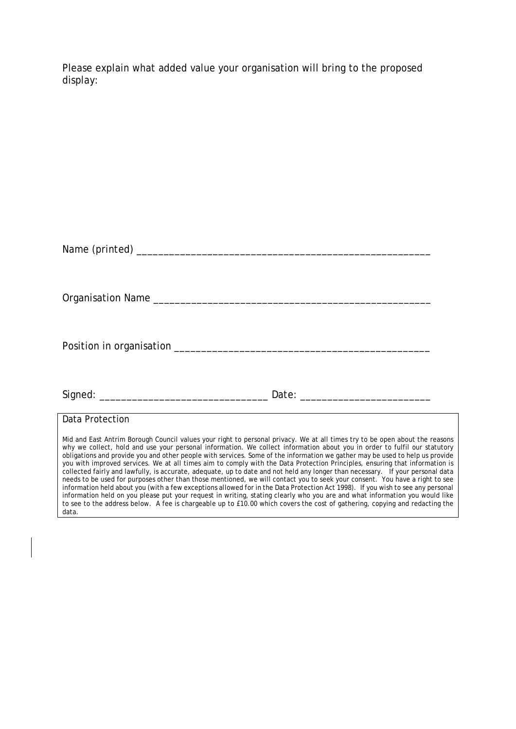Please explain what added value your organisation will bring to the proposed display:

| Data Protection                                                                                                                                                                                                                                                                                                                                                                                                                                                                                                                                                                                                                                                                                                                                                                                                                                                                                                                                                                                                                                                                                                                                                                           |  |
|-------------------------------------------------------------------------------------------------------------------------------------------------------------------------------------------------------------------------------------------------------------------------------------------------------------------------------------------------------------------------------------------------------------------------------------------------------------------------------------------------------------------------------------------------------------------------------------------------------------------------------------------------------------------------------------------------------------------------------------------------------------------------------------------------------------------------------------------------------------------------------------------------------------------------------------------------------------------------------------------------------------------------------------------------------------------------------------------------------------------------------------------------------------------------------------------|--|
| Mid and East Antrim Borough Council values your right to personal privacy. We at all times try to be open about the reasons<br>why we collect, hold and use your personal information. We collect information about you in order to fulfil our statutory<br>obligations and provide you and other people with services. Some of the information we gather may be used to help us provide<br>you with improved services. We at all times aim to comply with the Data Protection Principles, ensuring that information is<br>collected fairly and lawfully, is accurate, adequate, up to date and not held any longer than necessary. If your personal data<br>needs to be used for purposes other than those mentioned, we will contact you to seek your consent. You have a right to see<br>information held about you (with a few exceptions allowed for in the Data Protection Act 1998). If you wish to see any personal<br>information held on you please put your request in writing, stating clearly who you are and what information you would like<br>to see to the address below. A fee is chargeable up to £10.00 which covers the cost of gathering, copying and redacting the |  |

data.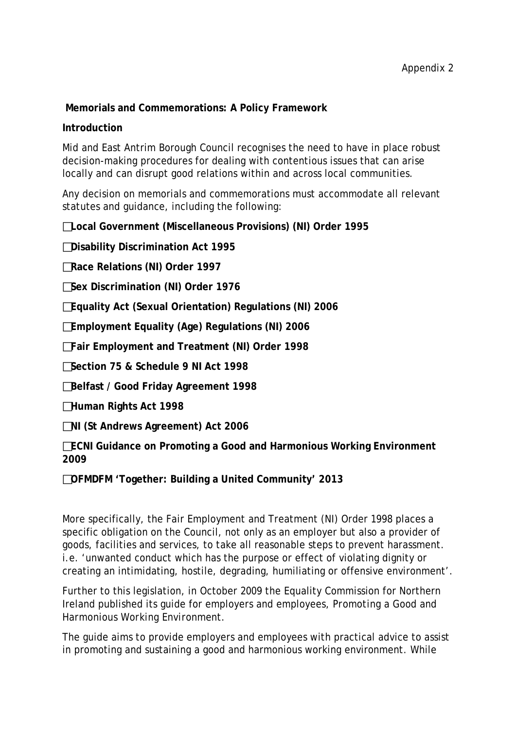## **Memorials and Commemorations: A Policy Framework**

#### **Introduction**

Mid and East Antrim Borough Council recognises the need to have in place robust decision-making procedures for dealing with contentious issues that can arise locally and can disrupt good relations within and across local communities.

Any decision on memorials and commemorations must accommodate all relevant statutes and guidance, including the following:

**Local Government (Miscellaneous Provisions) (NI) Order 1995** 

**Disability Discrimination Act 1995** 

**Race Relations (NI) Order 1997** 

**Sex Discrimination (NI) Order 1976** 

**Equality Act (Sexual Orientation) Regulations (NI) 2006** 

**Employment Equality (Age) Regulations (NI) 2006** 

**Fair Employment and Treatment (NI) Order 1998** 

**Section 75 & Schedule 9 NI Act 1998** 

**Belfast / Good Friday Agreement 1998**

**Human Rights Act 1998** 

**NI (St Andrews Agreement) Act 2006** 

**ECNI Guidance on Promoting a Good and Harmonious Working Environment 2009** 

**OFMDFM 'Together: Building a United Community' 2013** 

More specifically, the Fair Employment and Treatment (NI) Order 1998 places a specific obligation on the Council, not only as an employer but also a provider of goods, facilities and services, to take all reasonable steps to prevent harassment. i.e. 'unwanted conduct which has the purpose or effect of violating dignity or creating an intimidating, hostile, degrading, humiliating or offensive environment'.

Further to this legislation, in October 2009 the Equality Commission for Northern Ireland published its guide for employers and employees, *Promoting a Good and Harmonious Working Environment*.

The guide aims to provide employers and employees with practical advice to assist in promoting and sustaining a good and harmonious working environment. While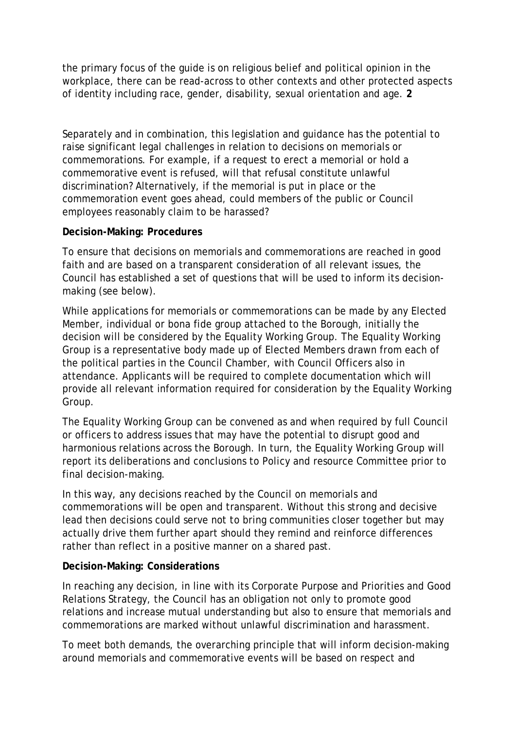the primary focus of the guide is on religious belief and political opinion in the workplace, there can be read-across to other contexts and other protected aspects of identity including race, gender, disability, sexual orientation and age. **2** 

Separately and in combination, this legislation and guidance has the potential to raise significant legal challenges in relation to decisions on memorials or commemorations. For example, if a request to erect a memorial or hold a commemorative event is refused, will that refusal constitute unlawful discrimination? Alternatively, if the memorial is put in place or the commemoration event goes ahead, could members of the public or Council employees reasonably claim to be harassed?

## **Decision-Making: Procedures**

To ensure that decisions on memorials and commemorations are reached in good faith and are based on a transparent consideration of all relevant issues, the Council has established a set of questions that will be used to inform its decisionmaking (see below).

While applications for memorials or commemorations can be made by any Elected Member, individual or bona fide group attached to the Borough, initially the decision will be considered by the Equality Working Group. The Equality Working Group is a representative body made up of Elected Members drawn from each of the political parties in the Council Chamber, with Council Officers also in attendance. Applicants will be required to complete documentation which will provide all relevant information required for consideration by the Equality Working Group.

The Equality Working Group can be convened as and when required by full Council or officers to address issues that may have the potential to disrupt good and harmonious relations across the Borough. In turn, the Equality Working Group will report its deliberations and conclusions to Policy and resource Committee prior to final decision-making.

In this way, any decisions reached by the Council on memorials and commemorations will be open and transparent. Without this strong and decisive lead then decisions could serve not to bring communities closer together but may actually drive them further apart should they remind and reinforce differences rather than reflect in a positive manner on a shared past.

## **Decision-Making: Considerations**

In reaching any decision, in line with its Corporate Purpose and Priorities and Good Relations Strategy, the Council has an obligation not only to promote good relations and increase mutual understanding but also to ensure that memorials and commemorations are marked without unlawful discrimination and harassment.

To meet both demands, the overarching principle that will inform decision-making around memorials and commemorative events will be based on respect and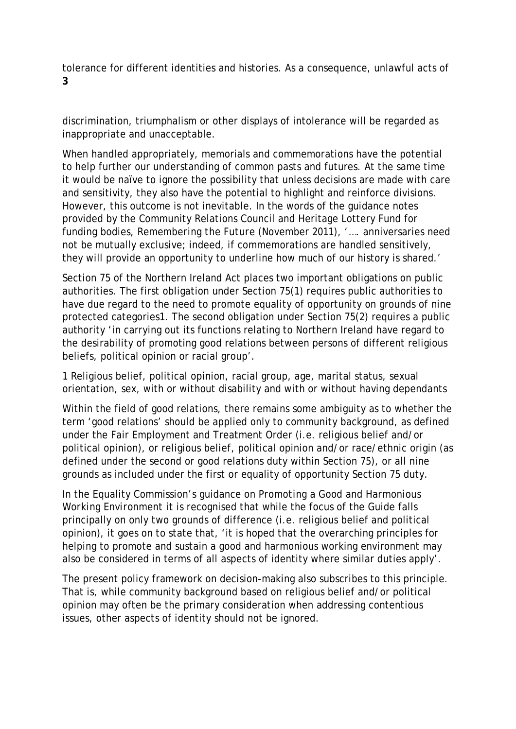tolerance for different identities and histories. As a consequence, unlawful acts of **3** 

discrimination, triumphalism or other displays of intolerance will be regarded as inappropriate and unacceptable.

When handled appropriately, memorials and commemorations have the potential to help further our understanding of common pasts and futures. At the same time it would be naïve to ignore the possibility that unless decisions are made with care and sensitivity, they also have the potential to highlight and reinforce divisions. However, this outcome is not inevitable. In the words of the guidance notes provided by the Community Relations Council and Heritage Lottery Fund for funding bodies, *Remembering the Future* (November 2011), '…. anniversaries need not be mutually exclusive; indeed, if commemorations are handled sensitively, they will provide an opportunity to underline how much of our history is shared.'

Section 75 of the Northern Ireland Act places two important obligations on public authorities. The first obligation under Section 75(1) requires public authorities to have due regard to the need to promote equality of opportunity on grounds of nine protected categories1. The second obligation under Section 75(2) requires a public authority 'in carrying out its functions relating to Northern Ireland have regard to the desirability of promoting good relations between persons of different religious beliefs, political opinion or racial group'.

1 Religious belief, political opinion, racial group, age, marital status, sexual orientation, sex, with or without disability and with or without having dependants

Within the field of good relations, there remains some ambiguity as to whether the term 'good relations' should be applied only to community background, as defined under the Fair Employment and Treatment Order (i.e. religious belief and/or political opinion), or religious belief, political opinion and/or race/ethnic origin (as defined under the second or good relations duty within Section 75), or all nine grounds as included under the first or equality of opportunity Section 75 duty.

In the Equality Commission's guidance on *Promoting a Good and Harmonious Working Environment* it is recognised that while the focus of the Guide falls principally on only two grounds of difference (i.e. religious belief and political opinion), it goes on to state that, 'it is hoped that the overarching principles for helping to promote and sustain a good and harmonious working environment may also be considered in terms of all aspects of identity where similar duties apply'.

The present policy framework on decision-making also subscribes to this principle. That is, while community background based on religious belief and/or political opinion may often be the primary consideration when addressing contentious issues, other aspects of identity should not be ignored.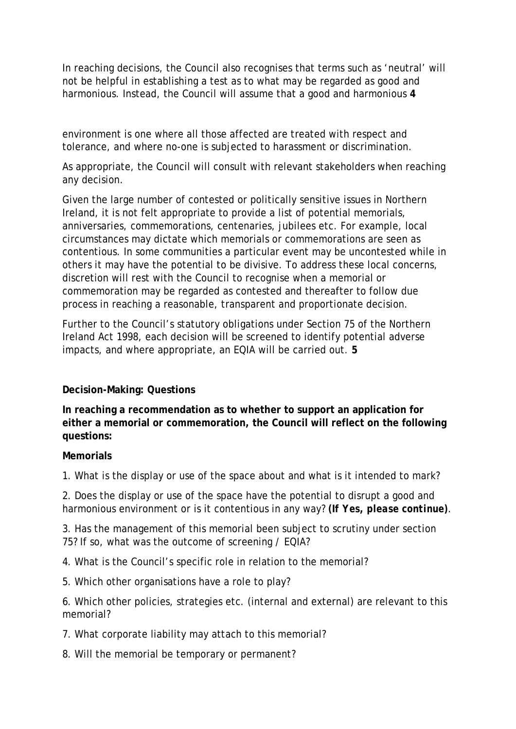In reaching decisions, the Council also recognises that terms such as 'neutral' will not be helpful in establishing a test as to what may be regarded as good and harmonious. Instead, the Council will assume that a good and harmonious **4** 

environment is one where all those affected are treated with respect and tolerance, and where no-one is subjected to harassment or discrimination.

As appropriate, the Council will consult with relevant stakeholders when reaching any decision.

Given the large number of contested or politically sensitive issues in Northern Ireland, it is not felt appropriate to provide a list of potential memorials, anniversaries, commemorations, centenaries, jubilees etc. For example, local circumstances may dictate which memorials or commemorations are seen as contentious. In some communities a particular event may be uncontested while in others it may have the potential to be divisive. To address these local concerns, discretion will rest with the Council to recognise when a memorial or commemoration may be regarded as contested and thereafter to follow due process in reaching a reasonable, transparent and proportionate decision.

Further to the Council's statutory obligations under Section 75 of the Northern Ireland Act 1998, each decision will be screened to identify potential adverse impacts, and where appropriate, an EQIA will be carried out. **5** 

## **Decision-Making: Questions**

**In reaching a recommendation as to whether to support an application for either a memorial or commemoration, the Council will reflect on the following questions:** 

#### **Memorials**

1. What is the display or use of the space about and what is it intended to mark?

2. Does the display or use of the space have the potential to disrupt a good and harmonious environment or is it contentious in any way? *(If Yes, please continue)*.

3. Has the management of this memorial been subject to scrutiny under section 75? If so, what was the outcome of screening / EQIA?

4. What is the Council's specific role in relation to the memorial?

5. Which other organisations have a role to play?

6. Which other policies, strategies etc. (internal and external) are relevant to this memorial?

- 7. What corporate liability may attach to this memorial?
- 8. Will the memorial be temporary or permanent?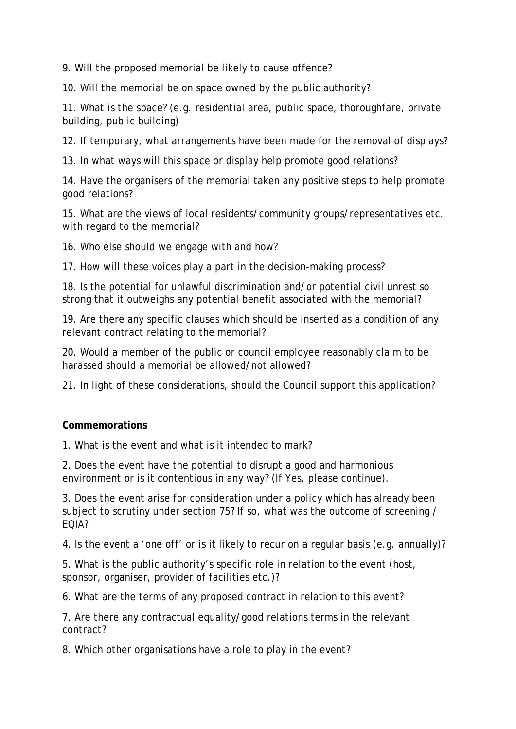9. Will the proposed memorial be likely to cause offence?

10. Will the memorial be on space owned by the public authority?

11. What is the space? (e.g. residential area, public space, thoroughfare, private building, public building)

12. If temporary, what arrangements have been made for the removal of displays?

13. In what ways will this space or display help promote good relations?

14. Have the organisers of the memorial taken any positive steps to help promote good relations?

15. What are the views of local residents/community groups/representatives etc. with regard to the memorial?

16. Who else should we engage with and how?

17. How will these voices play a part in the decision-making process?

18. Is the potential for unlawful discrimination and/or potential civil unrest so strong that it outweighs any potential benefit associated with the memorial?

19. Are there any specific clauses which should be inserted as a condition of any relevant contract relating to the memorial?

20. Would a member of the public or council employee reasonably claim to be harassed should a memorial be allowed/not allowed?

21. In light of these considerations, should the Council support this application?

#### **Commemorations**

1. What is the event and what is it intended to mark?

2. Does the event have the potential to disrupt a good and harmonious environment or is it contentious in any way? (If Yes, please continue).

3. Does the event arise for consideration under a policy which has already been subject to scrutiny under section 75? If so, what was the outcome of screening / EQIA?

4. Is the event a 'one off' or is it likely to recur on a regular basis (e.g. annually)?

5. What is the public authority's specific role in relation to the event (host, sponsor, organiser, provider of facilities etc.)?

6. What are the terms of any proposed contract in relation to this event?

7. Are there any contractual equality/good relations terms in the relevant contract?

8. Which other organisations have a role to play in the event?